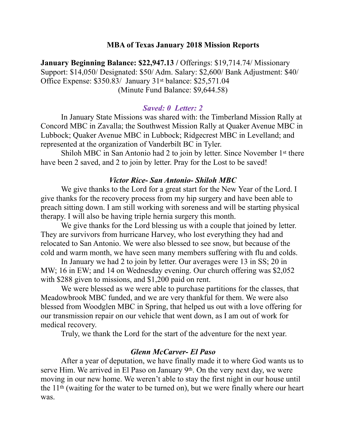### **MBA of Texas January 2018 Mission Reports**

**January Beginning Balance: \$22,947.13 / Offerings: \$19,714.74/ Missionary** Support: \$14,050/ Designated: \$50/ Adm. Salary: \$2,600/ Bank Adjustment: \$40/ Office Expense: \$350.83/ January 31st balance: \$25,571.04 (Minute Fund Balance: \$9,644.58)

### *Saved: 0 Letter: 2*

 In January State Missions was shared with: the Timberland Mission Rally at Concord MBC in Zavalla; the Southwest Mission Rally at Quaker Avenue MBC in Lubbock; Quaker Avenue MBC in Lubbock; Ridgecrest MBC in Levelland; and represented at the organization of Vanderbilt BC in Tyler.

 Shiloh MBC in San Antonio had 2 to join by letter. Since November 1st there have been 2 saved, and 2 to join by letter. Pray for the Lost to be saved!

#### *Victor Rice- San Antonio- Shiloh MBC*

 We give thanks to the Lord for a great start for the New Year of the Lord. I give thanks for the recovery process from my hip surgery and have been able to preach sitting down. I am still working with soreness and will be starting physical therapy. I will also be having triple hernia surgery this month.

 We give thanks for the Lord blessing us with a couple that joined by letter. They are survivors from hurricane Harvey, who lost everything they had and relocated to San Antonio. We were also blessed to see snow, but because of the cold and warm month, we have seen many members suffering with flu and colds.

 In January we had 2 to join by letter. Our averages were 13 in SS; 20 in MW; 16 in EW; and 14 on Wednesday evening. Our church offering was \$2,052 with \$288 given to missions, and \$1,200 paid on rent.

 We were blessed as we were able to purchase partitions for the classes, that Meadowbrook MBC funded, and we are very thankful for them. We were also blessed from Woodglen MBC in Spring, that helped us out with a love offering for our transmission repair on our vehicle that went down, as I am out of work for medical recovery.

Truly, we thank the Lord for the start of the adventure for the next year.

#### *Glenn McCarver- El Paso*

 After a year of deputation, we have finally made it to where God wants us to serve Him. We arrived in El Paso on January 9th. On the very next day, we were moving in our new home. We weren't able to stay the first night in our house until the 11th (waiting for the water to be turned on), but we were finally where our heart was.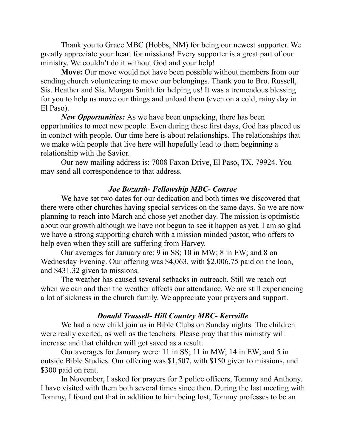Thank you to Grace MBC (Hobbs, NM) for being our newest supporter. We greatly appreciate your heart for missions! Every supporter is a great part of our ministry. We couldn't do it without God and your help!

**Move:** Our move would not have been possible without members from our sending church volunteering to move our belongings. Thank you to Bro. Russell, Sis. Heather and Sis. Morgan Smith for helping us! It was a tremendous blessing for you to help us move our things and unload them (even on a cold, rainy day in El Paso).

*New Opportunities:* As we have been unpacking, there has been opportunities to meet new people. Even during these first days, God has placed us in contact with people. Our time here is about relationships. The relationships that we make with people that live here will hopefully lead to them beginning a relationship with the Savior.

 Our new mailing address is: 7008 Faxon Drive, El Paso, TX. 79924. You may send all correspondence to that address.

## *Joe Bozarth- Fellowship MBC- Conroe*

 We have set two dates for our dedication and both times we discovered that there were other churches having special services on the same days. So we are now planning to reach into March and chose yet another day. The mission is optimistic about our growth although we have not begun to see it happen as yet. I am so glad we have a strong supporting church with a mission minded pastor, who offers to help even when they still are suffering from Harvey.

 Our averages for January are: 9 in SS; 10 in MW; 8 in EW; and 8 on Wednesday Evening. Our offering was \$4,063, with \$2,006.75 paid on the loan, and \$431.32 given to missions.

 The weather has caused several setbacks in outreach. Still we reach out when we can and then the weather affects our attendance. We are still experiencing a lot of sickness in the church family. We appreciate your prayers and support.

## *Donald Trussell- Hill Country MBC- Kerrville*

 We had a new child join us in Bible Clubs on Sunday nights. The children were really excited, as well as the teachers. Please pray that this ministry will increase and that children will get saved as a result.

 Our averages for January were: 11 in SS; 11 in MW; 14 in EW; and 5 in outside Bible Studies. Our offering was \$1,507, with \$150 given to missions, and \$300 paid on rent.

 In November, I asked for prayers for 2 police officers, Tommy and Anthony. I have visited with them both several times since then. During the last meeting with Tommy, I found out that in addition to him being lost, Tommy professes to be an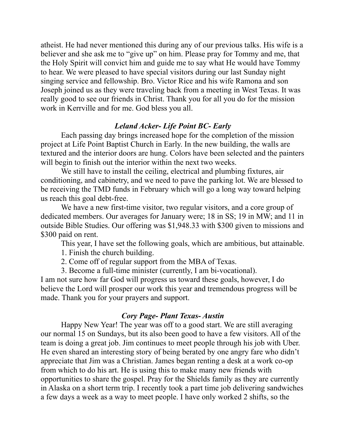atheist. He had never mentioned this during any of our previous talks. His wife is a believer and she ask me to "give up" on him. Please pray for Tommy and me, that the Holy Spirit will convict him and guide me to say what He would have Tommy to hear. We were pleased to have special visitors during our last Sunday night singing service and fellowship. Bro. Victor Rice and his wife Ramona and son Joseph joined us as they were traveling back from a meeting in West Texas. It was really good to see our friends in Christ. Thank you for all you do for the mission work in Kerrville and for me. God bless you all.

## *Leland Acker- Life Point BC- Early*

 Each passing day brings increased hope for the completion of the mission project at Life Point Baptist Church in Early. In the new building, the walls are textured and the interior doors are hung. Colors have been selected and the painters will begin to finish out the interior within the next two weeks.

 We still have to install the ceiling, electrical and plumbing fixtures, air conditioning, and cabinetry, and we need to pave the parking lot. We are blessed to be receiving the TMD funds in February which will go a long way toward helping us reach this goal debt-free.

 We have a new first-time visitor, two regular visitors, and a core group of dedicated members. Our averages for January were; 18 in SS; 19 in MW; and 11 in outside Bible Studies. Our offering was \$1,948.33 with \$300 given to missions and \$300 paid on rent.

This year, I have set the following goals, which are ambitious, but attainable.

- 1. Finish the church building.
- 2. Come off of regular support from the MBA of Texas.
- 3. Become a full-time minister (currently, I am bi-vocational).

I am not sure how far God will progress us toward these goals, however, I do believe the Lord will prosper our work this year and tremendous progress will be made. Thank you for your prayers and support.

## *Cory Page- Plant Texas- Austin*

 Happy New Year! The year was off to a good start. We are still averaging our normal 15 on Sundays, but its also been good to have a few visitors. All of the team is doing a great job. Jim continues to meet people through his job with Uber. He even shared an interesting story of being berated by one angry fare who didn't appreciate that Jim was a Christian. James began renting a desk at a work co-op from which to do his art. He is using this to make many new friends with opportunities to share the gospel. Pray for the Shields family as they are currently in Alaska on a short term trip. I recently took a part time job delivering sandwiches a few days a week as a way to meet people. I have only worked 2 shifts, so the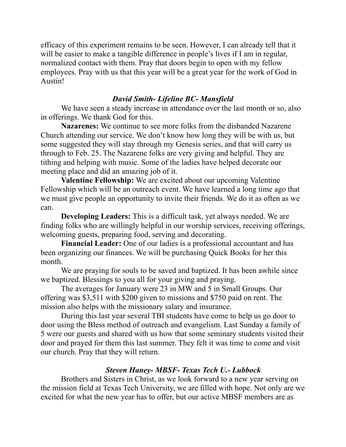efficacy of this experiment remains to be seen. However, I can already tell that it will be easier to make a tangible difference in people's lives if I am in regular, normalized contact with them. Pray that doors begin to open with my fellow employees. Pray with us that this year will be a great year for the work of God in Austin!

## *David Smith- Lifeline BC- Mansfield*

 We have seen a steady increase in attendance over the last month or so, also in offerings. We thank God for this.

**Nazarenes:** We continue to see more folks from the disbanded Nazarene Church attending our service. We don't know how long they will be with us, but some suggested they will stay through my Genesis series, and that will carry us through to Feb. 25. The Nazarene folks are very giving and helpful. They are tithing and helping with music. Some of the ladies have helped decorate our meeting place and did an amazing job of it.

**Valentine Fellowship:** We are excited about our upcoming Valentine Fellowship which will be an outreach event. We have learned a long time ago that we must give people an opportunity to invite their friends. We do it as often as we can.

**Developing Leaders:** This is a difficult task, yet always needed. We are finding folks who are willingly helpful in our worship services, receiving offerings, welcoming guests, preparing food, serving and decorating.

**Financial Leader:** One of our ladies is a professional accountant and has been organizing our finances. We will be purchasing Quick Books for her this month.

We are praying for souls to be saved and baptized. It has been awhile since we baptized. Blessings to you all for your giving and praying.

The averages for January were 23 in MW and 5 in Small Groups. Our offering was \$3,511 with \$200 given to missions and \$750 paid on rent. The mission also helps with the missionary salary and insurance.

During this last year several TBI students have come to help us go door to door using the Bless method of outreach and evangelism. Last Sunday a family of 5 were our guests and shared with us how that some seminary students visited their door and prayed for them this last summer. They felt it was time to come and visit our church. Pray that they will return.

# *Steven Haney- MBSF- Texas Tech U.- Lubbock*

Brothers and Sisters in Christ, as we look forward to a new year serving on the mission field at Texas Tech University, we are filled with hope. Not only are we excited for what the new year has to offer, but our active MBSF members are as